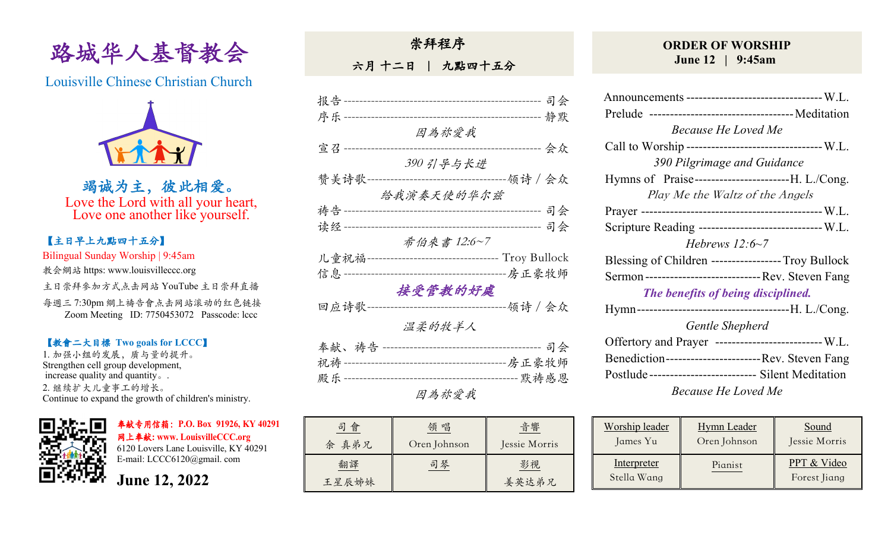

Louisville Chinese Christian Church



竭诚为主,彼此相爱。 Love the Lord with all your heart, Love one another like yourself.

# 【主日早上九點四⼗五分】

Bilingual Sunday Worship | 9:45am 教会網站 https: www.louisvilleccc.org

主日崇拜參加方式点击网站 YouTube 主日崇拜直播

每週三 7:30pm 網上禱告會点击网站滚动的红色链接 Zoom Meeting ID: 7750453072 Passcode: lccc

### 【教會⼆⼤目標 **Two goals for LCCC**】

1. 加强小组的发展, 质与量的提升。 Strengthen cell group development, increase quality and quantity。. 2. 继续扩⼤⼉童事⼯的增长。 Continue to expand the growth of children's ministry.



奉献专用信箱:**P.O. Box 91926, KY 40291**  ⽹上奉献**: www. LouisvilleCCC.org**

6120 Lovers Lane Louisville, KY 40291 E-mail: LCCC6120@gmail. com

**June 12, 2022**

崇拜程序

六月十二日 | 九點四十五分

| 报告 ------------------- | -----------------------------                       | 司会                       |
|------------------------|-----------------------------------------------------|--------------------------|
| 序乐------               |                                                     | 静默<br>------------------ |
|                        | 因為祢愛我                                               |                          |
| 宣召 --                  |                                                     | 会众                       |
|                        | 390 引导与长进                                           |                          |
| 赞美诗歌-                  |                                                     | -----领诗 / 会众             |
|                        | 给我演奏天使的华尔兹                                          |                          |
| 祷告-------              |                                                     | 司会                       |
| 读经------               |                                                     | 司会<br>------------       |
|                        | 希伯來書 12:6~7                                         |                          |
|                        | 儿童祝福---------------------------------- Troy Bullock |                          |
| 信息-----                | ----------------------------------房正豪牧师             |                          |
|                        | 接受管教的好處                                             |                          |
| 回应诗歌·                  |                                                     | -------领诗 / 会众           |
|                        | 温柔的牧羊人                                              |                          |
|                        |                                                     | 司会                       |
|                        |                                                     |                          |
|                        |                                                     |                          |
|                        |                                                     |                          |

| 會<br>司<br>余 真弟兄 | 唱<br>領<br>Oren Johnson | 音響<br>Jessie Morris |  |
|-----------------|------------------------|---------------------|--|
| 翻譯<br>王星辰姊妹     | 司琴                     | 影視<br>姜英达弟兄         |  |

## **ORDER OF WORSHIP June 12 | 9:45am**

| Announcements --------------------------------- W.L.   |  |  |  |  |  |
|--------------------------------------------------------|--|--|--|--|--|
|                                                        |  |  |  |  |  |
| <b>Because He Loved Me</b>                             |  |  |  |  |  |
| Call to Worship --------------------------------- W.L. |  |  |  |  |  |
| 390 Pilgrimage and Guidance                            |  |  |  |  |  |
|                                                        |  |  |  |  |  |
| Play Me the Waltz of the Angels                        |  |  |  |  |  |
|                                                        |  |  |  |  |  |
| Scripture Reading ------------------------------ W.L.  |  |  |  |  |  |
| Hebrews $12:6-7$                                       |  |  |  |  |  |
| Blessing of Children ----------------- Troy Bullock    |  |  |  |  |  |
| Sermon ------------------------------ Rev. Steven Fang |  |  |  |  |  |
| The benefits of being disciplined.                     |  |  |  |  |  |
|                                                        |  |  |  |  |  |
| Gentle Shepherd                                        |  |  |  |  |  |
| Offertory and Prayer --------------------------- W.L.  |  |  |  |  |  |
| Benediction-------------------------Rev. Steven Fang   |  |  |  |  |  |
| Postlude-------------------------- Silent Meditation   |  |  |  |  |  |
| Because He Loved Me                                    |  |  |  |  |  |

| Worship leader             | <b>Hymn</b> Leader | Sound                       |
|----------------------------|--------------------|-----------------------------|
| James Yu                   | Oren Johnson       | Jessie Morris               |
| Interpreter<br>Stella Wang | Pianist            | PPT & Video<br>Forest Jiang |